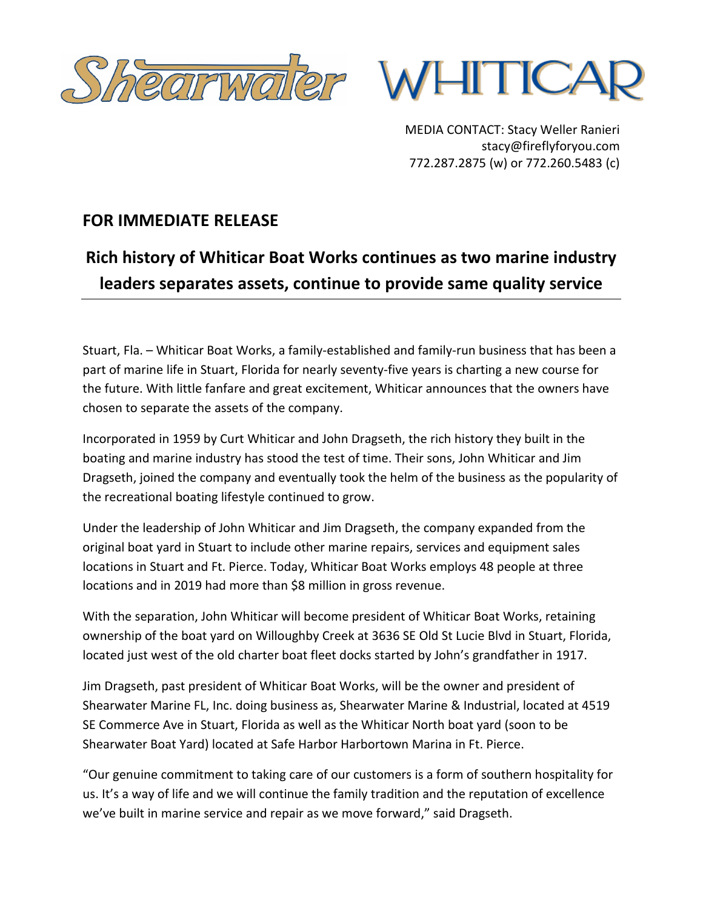



MEDIA CONTACT: Stacy Weller Ranieri stacy@fireflyforyou.com 772.287.2875 (w) or 772.260.5483 (c)

## **FOR IMMEDIATE RELEASE**

## **Rich history of Whiticar Boat Works continues as two marine industry leaders separates assets, continue to provide same quality service**

Stuart, Fla. – Whiticar Boat Works, a family-established and family-run business that has been a part of marine life in Stuart, Florida for nearly seventy-five years is charting a new course for the future. With little fanfare and great excitement, Whiticar announces that the owners have chosen to separate the assets of the company.

Incorporated in 1959 by Curt Whiticar and John Dragseth, the rich history they built in the boating and marine industry has stood the test of time. Their sons, John Whiticar and Jim Dragseth, joined the company and eventually took the helm of the business as the popularity of the recreational boating lifestyle continued to grow.

Under the leadership of John Whiticar and Jim Dragseth, the company expanded from the original boat yard in Stuart to include other marine repairs, services and equipment sales locations in Stuart and Ft. Pierce. Today, Whiticar Boat Works employs 48 people at three locations and in 2019 had more than \$8 million in gross revenue.

With the separation, John Whiticar will become president of Whiticar Boat Works, retaining ownership of the boat yard on Willoughby Creek at 3636 SE Old St Lucie Blvd in Stuart, Florida, located just west of the old charter boat fleet docks started by John's grandfather in 1917.

Jim Dragseth, past president of Whiticar Boat Works, will be the owner and president of Shearwater Marine FL, Inc. doing business as, Shearwater Marine & Industrial, located at 4519 SE Commerce Ave in Stuart, Florida as well as the Whiticar North boat yard (soon to be Shearwater Boat Yard) located at Safe Harbor Harbortown Marina in Ft. Pierce.

"Our genuine commitment to taking care of our customers is a form of southern hospitality for us. It's a way of life and we will continue the family tradition and the reputation of excellence we've built in marine service and repair as we move forward," said Dragseth.